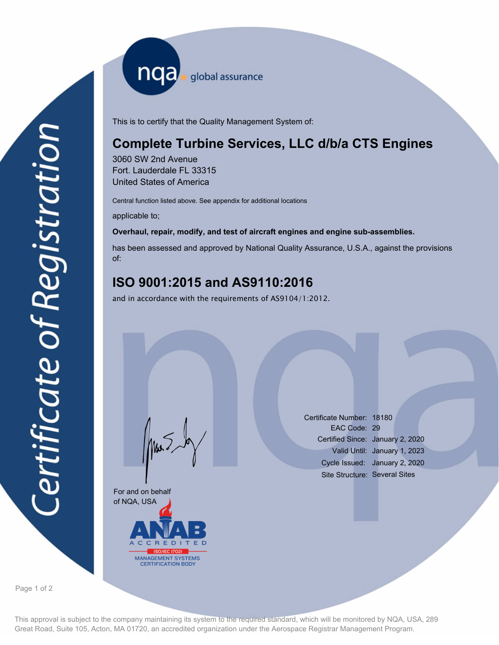nqa <sub>global assurance</sub>

This is to certify that the Quality Management System of:

# **Complete Turbine Services, LLC d/b/a CTS Engines**

3060 SW 2nd Avenue Fort. Lauderdale FL 33315 United States of America

Central function listed above. See appendix for additional locations

applicable to;

#### **Overhaul, repair, modify, and test of aircraft engines and engine sub-assemblies.**

has been assessed and approved by National Quality Assurance, U.S.A., against the provisions of:

## **ISO 9001:2015 and AS9110:2016**

and in accordance with the requirements of AS9104/1:2012.

For and on behalf of NQA, USA **REDI** MANAGEMENT SYSTEMS

Mus

Certificate Number: 18180 EAC Code: 29 Certified Since: January 2, 2020 Valid Until: January 1, 2023 Cycle Issued: January 2, 2020 Site Structure: Several Sites

Page 1 of 2

This approval is subject to the company maintaining its system to the required standard, which will be monitored by NQA, USA, 289 Great Road, Suite 105, Acton, MA 01720, an accredited organization under the Aerospace Registrar Management Program.